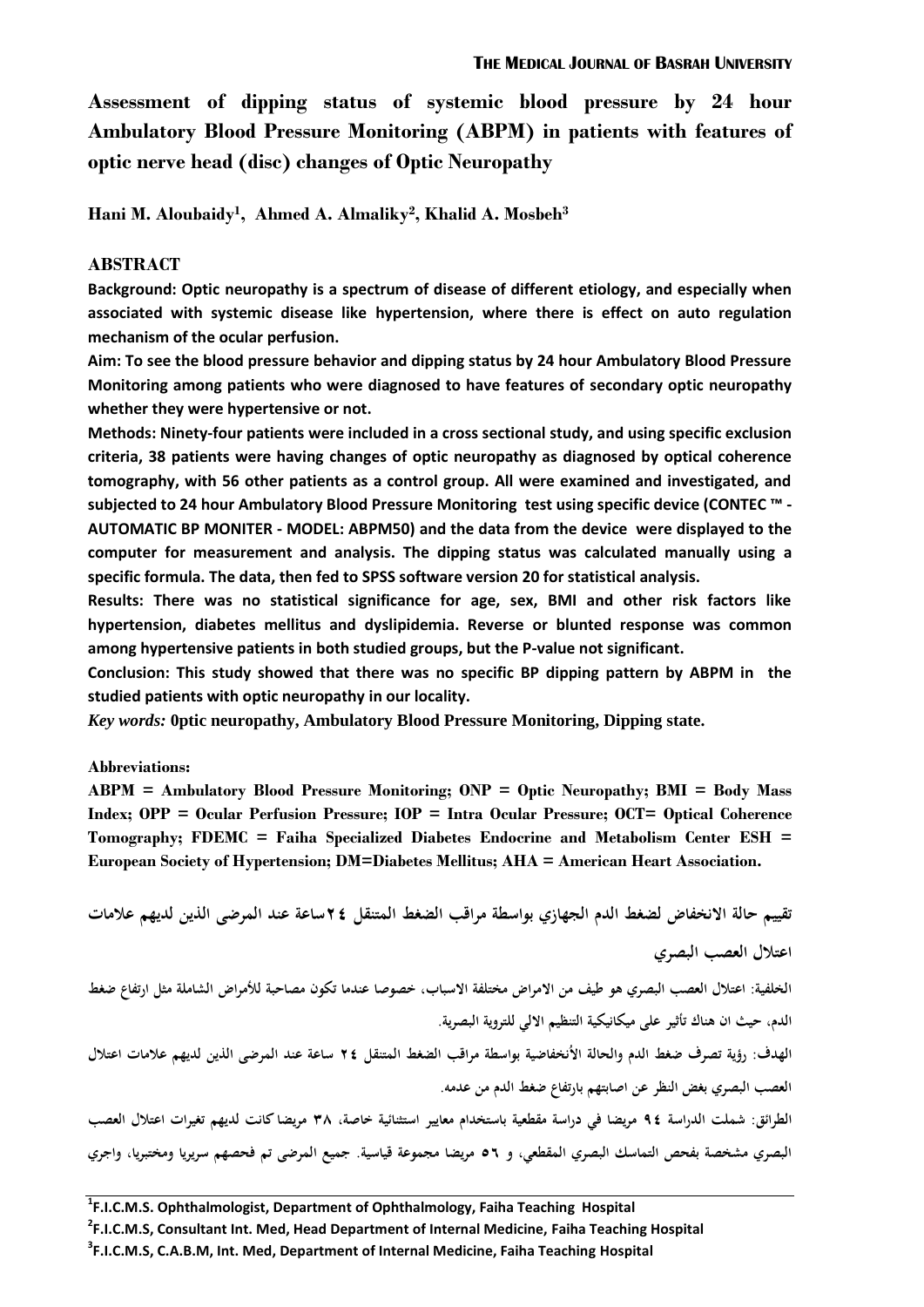**Assessment of dipping status of systemic blood pressure by 24 hour Ambulatory Blood Pressure Monitoring (ABPM) in patients with features of optic nerve head (disc) changes of Optic Neuropathy**

**Hani M. Aloubaidy<sup>1</sup> , Ahmed A. Almaliky<sup>2</sup> , Khalid A. Mosbeh<sup>3</sup>**

## **ABSTRACT**

**Background: Optic neuropathy is a spectrum of disease of different etiology, and especially when associated with systemic disease like hypertension, where there is effect on auto regulation mechanism of the ocular perfusion.**

**Aim: To see the blood pressure behavior and dipping status by 24 hour Ambulatory Blood Pressure Monitoring among patients who were diagnosed to have features of secondary optic neuropathy whether they were hypertensive or not.**

**Methods: Ninety-four patients were included in a cross sectional study, and using specific exclusion criteria, 38 patients were having changes of optic neuropathy as diagnosed by optical coherence tomography, with 56 other patients as a control group. All were examined and investigated, and subjected to 24 hour Ambulatory Blood Pressure Monitoring test using specific device (CONTEC ™ - AUTOMATIC BP MONITER - MODEL: ABPM50) and the data from the device were displayed to the computer for measurement and analysis. The dipping status was calculated manually using a specific formula. The data, then fed to SPSS software version 20 for statistical analysis.**

**Results: There was no statistical significance for age, sex, BMI and other risk factors like hypertension, diabetes mellitus and dyslipidemia. Reverse or blunted response was common among hypertensive patients in both studied groups, but the P-value not significant.**

**Conclusion: This study showed that there was no specific BP dipping pattern by ABPM in the studied patients with optic neuropathy in our locality.**

*Key words:* **0ptic neuropathy, Ambulatory Blood Pressure Monitoring, Dipping state.** 

#### **Abbreviations:**

**ABPM = Ambulatory Blood Pressure Monitoring; ONP = Optic Neuropathy; BMI = Body Mass Index; OPP = Ocular Perfusion Pressure; IOP = Intra Ocular Pressure; OCT= Optical Coherence Tomography; FDEMC = Faiha Specialized Diabetes Endocrine and Metabolism Center ESH = European Society of Hypertension; DM=Diabetes Mellitus; AHA = American Heart Association.**

**تقييم حالة االنخفاض لضغط الدم الجهاز ي بواسطة مراقب الضغط المتنقل 42ساعة عند المرضى الذين لديهم عالمات اعتالل العصب البصري** 

**الخلفية: اعتالل العصب البصري ىو طيف من االمراض مختلفة االسباب, خصوصا عندما تكون مصاحبة لألمراض الشاملة مثل ارتفاع ضغط الدم, حيث ان ىناك تأثير على ميكانيكية التنظيم االلي للتروية البصرية. الهدف: رؤية تصرف ضغط الدم والحالة االانخفاضية بواسطة مراقب الضغط المتنقل 42 ساعة عند المرضى الذين لديهم عالمات اعتالل العصب البصري بغض النظر عن اصابتهم بارتفاع ضغط الدم من عدمو.**

**الطرائق: شملت الدراسة 42 مريضا في دراسة مقطعية باستخدام معايير استثنائية خاصة, 83 مريضا كانت لديهم تغيرات اعتالل العصب البصري مشخصة بفحص التماسك البصري المقطعي, و 65 مريضا مجموعة قياسية. جميع المرضى تم فحصهم سريريا ومختبريا, واجري**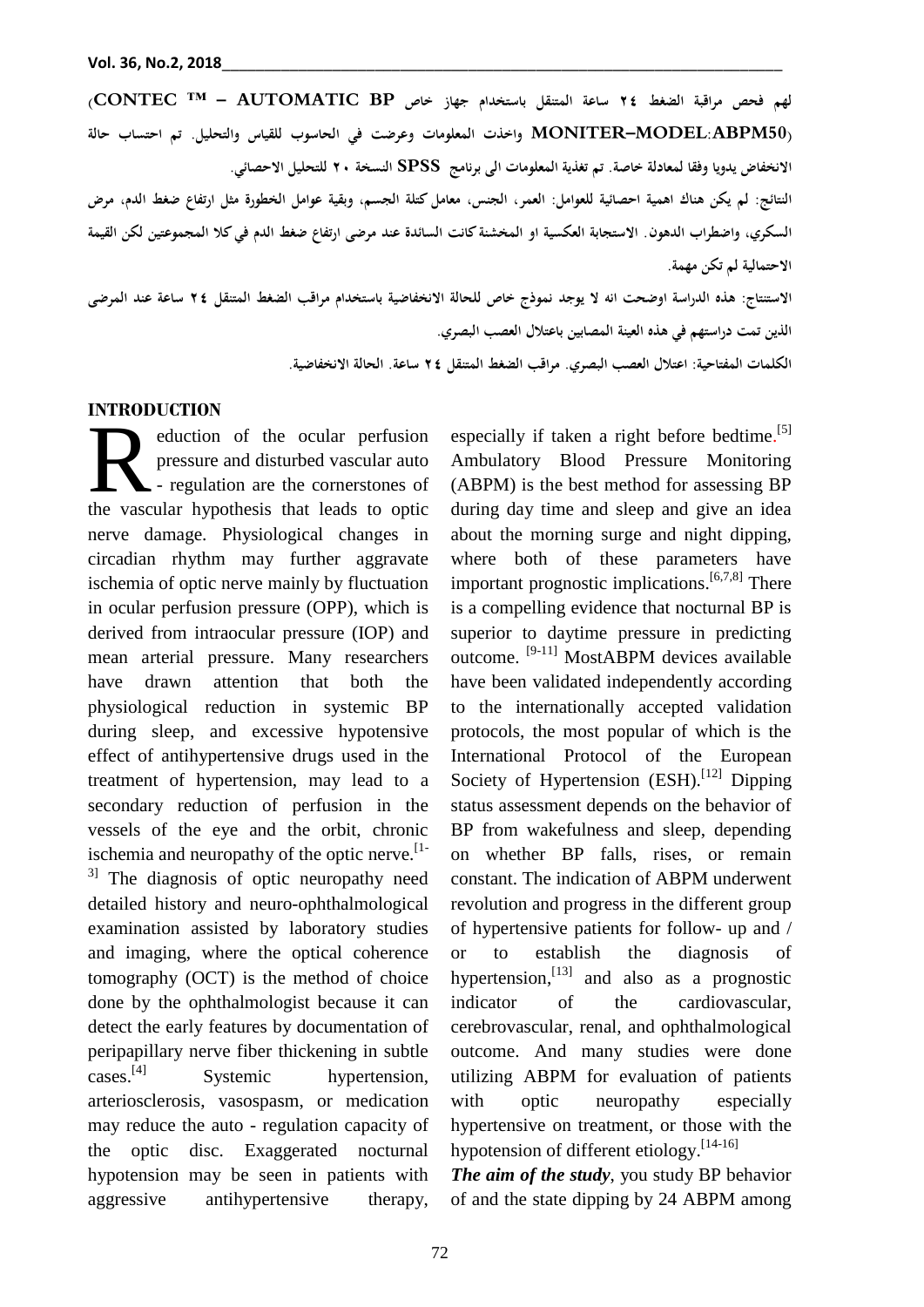**لهم فحص مراقبة الضغط 42 ساعة المتنقل باستخدام جهاز خاص BP AUTOMATIC ™ – CONTEC( (50ABPM:MODEL–MONITER واخذت المعلومات و عرضت في الحاسوب للقياس والتحليل. تم احتساب حالة االنخفاض يدويا وفقا لمعادلة خاصة. تم تغذية المعلومات الى برنامج SPSS النسخة 42 للتحليل االحصائي.** 

**النتائج: لم يكن ىناك اىمية احصائية للعوامل: العمر, الجنس, معامل كتلة الجسم, و بقية عوامل الخطورة مثل ارتفاع ضغط الدم, مرض السكري, واضطراب الدىون. االستجابة العكسية او المخشنة كانت السائدة عند مرضى ارتفاع ضغط الدم في كال المجموعتين لكن القيمة االحتمالية لم تكن مهمة.** 

**االستنتاج: ىذه الدراسة اوضحت انو ال يوجد نموذج خاص للحالة االنخفاضية باستخدام مراقب الضغط المتنقل 42 ساعة عند المرضى الذين تمت دراستهم في ىذه العينة المصابين باعتالل العصب البصري.** 

**الكلمات المفتاحية: اعتالل العصب البصر ي. مراقب الضغط المتنقل 42 ساعة. الحالة االنخفاضية.** 

### **INTRODUCTION**

eduction of the ocular perfusion pressure and disturbed vascular auto - regulation are the cornerstones of eduction of the ocular perfusion<br>pressure and disturbed vascular auto<br>the vascular hypothesis that leads to optic nerve damage. Physiological changes in circadian rhythm may further aggravate ischemia of optic nerve mainly by fluctuation in ocular perfusion pressure (OPP), which is derived from intraocular pressure (IOP) and mean arterial pressure. Many researchers have drawn attention that both the physiological reduction in systemic BP during sleep, and excessive hypotensive effect of antihypertensive drugs used in the treatment of hypertension, may lead to a secondary reduction of perfusion in the vessels of the eye and the orbit, chronic ischemia and neuropathy of the optic nerve.<sup>[1-1]</sup>  $3$ ] The diagnosis of optic neuropathy need detailed history and neuro-ophthalmological examination assisted by laboratory studies and imaging, where the optical coherence tomography (OCT) is the method of choice done by the ophthalmologist because it can detect the early features by documentation of peripapillary nerve fiber thickening in subtle cases.<sup>[4]</sup> Systemic hypertension, arteriosclerosis, vasospasm, or medication may reduce the auto - regulation capacity of the optic disc. Exaggerated nocturnal hypotension may be seen in patients with aggressive antihypertensive therapy,

especially if taken a right before bedtime.<sup>[5]</sup> Ambulatory Blood Pressure Monitoring (ABPM) is the best method for assessing BP during day time and sleep and give an idea about the morning surge and night dipping, where both of these parameters have important prognostic implications.<sup>[6,7,8]</sup> There is a compelling evidence that nocturnal BP is superior to daytime pressure in predicting outcome. <sup>[9-11]</sup> MostABPM devices available have been validated independently according to the internationally accepted validation protocols, the most popular of which is the International Protocol of the European Society of Hypertension (ESH).<sup>[12]</sup> Dipping status assessment depends on the behavior of BP from wakefulness and sleep, depending on whether BP falls, rises, or remain constant. The indication of ABPM underwent revolution and progress in the different group of hypertensive patients for follow- up and / or to establish the diagnosis of hypertension,<sup>[13]</sup> and also as a prognostic indicator of the cardiovascular, cerebrovascular, renal, and ophthalmological outcome. And many studies were done utilizing ABPM for evaluation of patients with optic neuropathy especially hypertensive on treatment, or those with the hypotension of different etiology.<sup>[14-16]</sup>

*The aim of the study*, you study BP behavior of and the state dipping by 24 ABPM among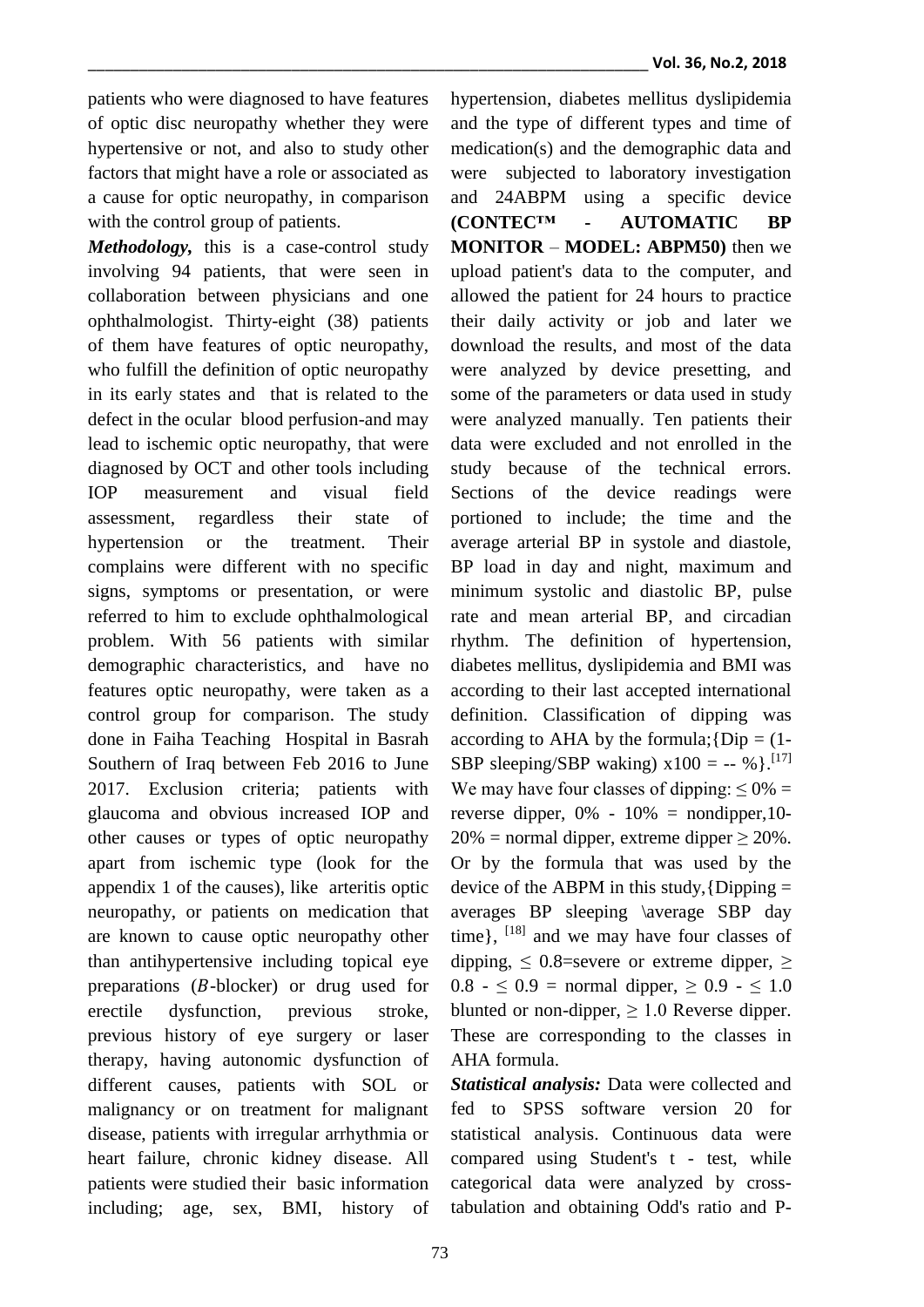patients who were diagnosed to have features of optic disc neuropathy whether they were hypertensive or not, and also to study other factors that might have a role or associated as a cause for optic neuropathy, in comparison with the control group of patients.

*Methodology,* this is a case-control study involving 94 patients, that were seen in collaboration between physicians and one ophthalmologist. Thirty-eight (38) patients of them have features of optic neuropathy, who fulfill the definition of optic neuropathy in its early states and that is related to the defect in the ocular blood perfusion-and may lead to ischemic optic neuropathy, that were diagnosed by OCT and other tools including IOP measurement and visual field assessment, regardless their state of hypertension or the treatment. Their complains were different with no specific signs, symptoms or presentation, or were referred to him to exclude ophthalmological problem. With 56 patients with similar demographic characteristics, and have no features optic neuropathy, were taken as a control group for comparison. The study done in Faiha Teaching Hospital in Basrah Southern of Iraq between Feb 2016 to June 2017. Exclusion criteria; patients with glaucoma and obvious increased IOP and other causes or types of optic neuropathy apart from ischemic type (look for the appendix 1 of the causes), like arteritis optic neuropathy, or patients on medication that are known to cause optic neuropathy other than antihypertensive including topical eye preparations  $(B-\text{blocker})$  or drug used for erectile dysfunction, previous stroke, previous history of eye surgery or laser therapy, having autonomic dysfunction of different causes, patients with SOL or malignancy or on treatment for malignant disease, patients with irregular arrhythmia or heart failure, chronic kidney disease. All patients were studied their basic information including; age, sex, BMI, history of hypertension, diabetes mellitus dyslipidemia and the type of different types and time of medication(s) and the demographic data and were subjected to laboratory investigation and 24ABPM using a specific device **(CONTEC™ - AUTOMATIC BP MONITOR** – **MODEL: ABPM50)** then we upload patient's data to the computer, and allowed the patient for 24 hours to practice their daily activity or job and later we download the results, and most of the data were analyzed by device presetting, and some of the parameters or data used in study were analyzed manually. Ten patients their data were excluded and not enrolled in the study because of the technical errors. Sections of the device readings were portioned to include; the time and the average arterial BP in systole and diastole, BP load in day and night, maximum and minimum systolic and diastolic BP, pulse rate and mean arterial BP, and circadian rhythm. The definition of hypertension, diabetes mellitus, dyslipidemia and BMI was according to their last accepted international definition. Classification of dipping was according to AHA by the formula;  $\{Dip = (1-\}$ SBP sleeping/SBP waking)  $x100 = -8$  % }.<sup>[17]</sup> We may have four classes of dipping:  $\leq 0\%$  = reverse dipper,  $0\% - 10\% =$  nondipper, 10- $20\%$  = normal dipper, extreme dipper  $\geq 20\%$ . Or by the formula that was used by the device of the ABPM in this study,  $\{Dipping =$ averages BP sleeping \average SBP day time},  $^{[18]}$  and we may have four classes of dipping,  $\leq$  0.8=severe or extreme dipper,  $\geq$ 0.8 -  $\leq$  0.9 = normal dipper,  $\geq$  0.9 -  $\leq$  1.0 blunted or non-dipper,  $\geq 1.0$  Reverse dipper. These are corresponding to the classes in AHA formula.

*Statistical analysis:* Data were collected and fed to SPSS software version 20 for statistical analysis. Continuous data were compared using Student's t - test, while categorical data were analyzed by crosstabulation and obtaining Odd's ratio and P-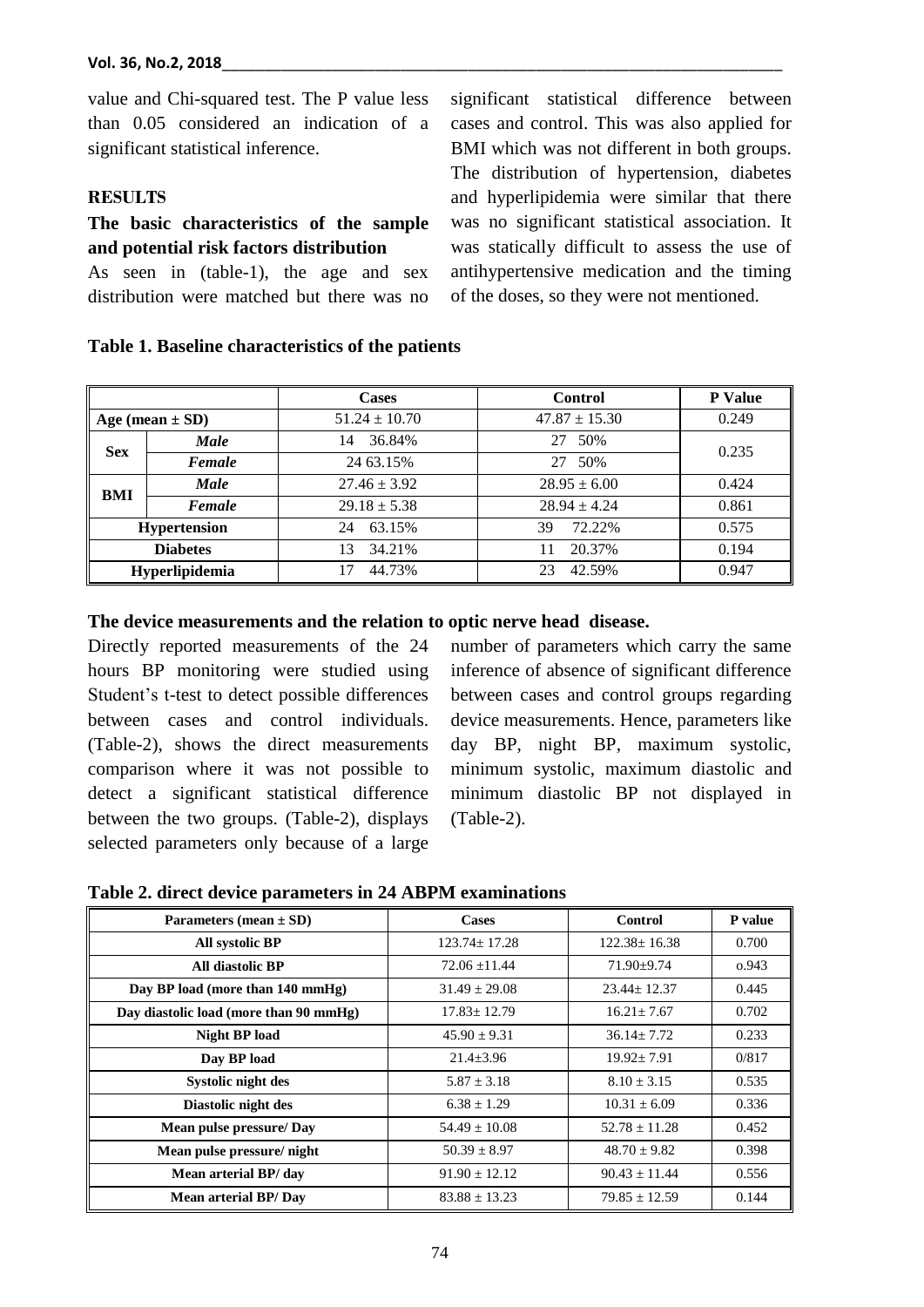value and Chi-squared test. The P value less

than 0.05 considered an indication of a significant statistical inference.

# **RESULTS**

# **The basic characteristics of the sample and potential risk factors distribution**

As seen in (table-1), the age and sex distribution were matched but there was no significant statistical difference between cases and control. This was also applied for BMI which was not different in both groups. The distribution of hypertension, diabetes and hyperlipidemia were similar that there was no significant statistical association. It was statically difficult to assess the use of antihypertensive medication and the timing of the doses, so they were not mentioned.

|                     |                | <b>Cases</b>      | <b>Control</b>    | <b>P</b> Value |
|---------------------|----------------|-------------------|-------------------|----------------|
| Age (mean $\pm$ SD) |                | $51.24 \pm 10.70$ | $47.87 \pm 15.30$ | 0.249          |
| <b>Sex</b>          | <b>Male</b>    | 36.84%<br>14      | 50%<br>27         | 0.235          |
|                     | Female         | 24 63.15%         | 50%<br>27         |                |
| BMI                 | <b>Male</b>    | $27.46 \pm 3.92$  | $28.95 \pm 6.00$  | 0.424          |
|                     | Female         | $29.18 \pm 5.38$  | $28.94 \pm 4.24$  | 0.861          |
| <b>Hypertension</b> |                | 63.15%<br>24      | 72.22%<br>39      | 0.575          |
| <b>Diabetes</b>     |                | 34.21%<br>13      | 20.37%            | 0.194          |
|                     | Hyperlipidemia | 44.73%<br>17      | 42.59%<br>23      | 0.947          |

### **Table 1. Baseline characteristics of the patients**

### **The device measurements and the relation to optic nerve head disease.**

Directly reported measurements of the 24 hours BP monitoring were studied using Student's t-test to detect possible differences between cases and control individuals. (Table-2), shows the direct measurements comparison where it was not possible to detect a significant statistical difference between the two groups. (Table-2), displays selected parameters only because of a large

number of parameters which carry the same inference of absence of significant difference between cases and control groups regarding device measurements. Hence, parameters like day BP, night BP, maximum systolic, minimum systolic, maximum diastolic and minimum diastolic BP not displayed in (Table-2).

**Table 2. direct device parameters in 24 ABPM examinations**

| Parameters (mean $\pm$ SD)             | <b>Cases</b>       | <b>Control</b>     | P value |  |  |  |  |
|----------------------------------------|--------------------|--------------------|---------|--|--|--|--|
| All systolic BP                        | $123.74 \pm 17.28$ | $122.38 \pm 16.38$ | 0.700   |  |  |  |  |
| All diastolic BP                       | $72.06 \pm 11.44$  | $71.90 \pm 9.74$   | 0.943   |  |  |  |  |
| Day BP load (more than 140 mmHg)       | $31.49 \pm 29.08$  | $23.44 \pm 12.37$  | 0.445   |  |  |  |  |
| Day diastolic load (more than 90 mmHg) | $17.83 \pm 12.79$  | $16.21 \pm 7.67$   | 0.702   |  |  |  |  |
| <b>Night BP load</b>                   | $45.90 \pm 9.31$   | $36.14 + 7.72$     | 0.233   |  |  |  |  |
| Day BP load                            | $21.4 \pm 3.96$    | $19.92 \pm 7.91$   | 0/817   |  |  |  |  |
| Systolic night des                     | $5.87 \pm 3.18$    | $8.10 \pm 3.15$    | 0.535   |  |  |  |  |
| Diastolic night des                    | $6.38 \pm 1.29$    | $10.31 \pm 6.09$   | 0.336   |  |  |  |  |
| Mean pulse pressure/Day                | $54.49 \pm 10.08$  | $52.78 \pm 11.28$  | 0.452   |  |  |  |  |
| Mean pulse pressure/night              | $50.39 \pm 8.97$   | $48.70 \pm 9.82$   | 0.398   |  |  |  |  |
| Mean arterial BP/ day                  | $91.90 \pm 12.12$  | $90.43 \pm 11.44$  | 0.556   |  |  |  |  |
| <b>Mean arterial BP/Day</b>            | $83.88 \pm 13.23$  | $79.85 + 12.59$    | 0.144   |  |  |  |  |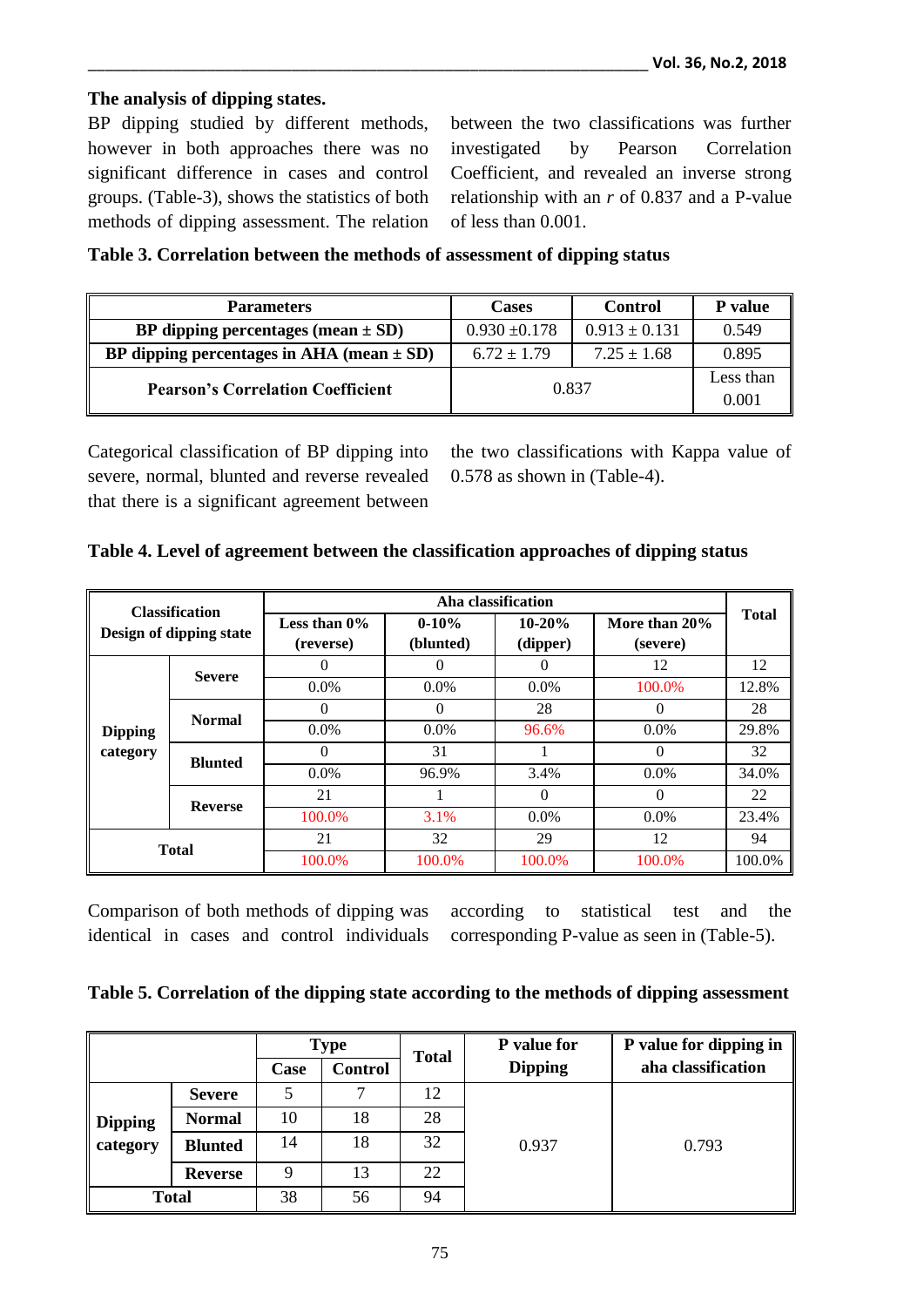# **The analysis of dipping states.**

BP dipping studied by different methods, however in both approaches there was no significant difference in cases and control groups. (Table-3), shows the statistics of both methods of dipping assessment. The relation between the two classifications was further investigated by Pearson Correlation Coefficient, and revealed an inverse strong relationship with an *r* of 0.837 and a P-value of less than 0.001.

|  |  |  |  |  |  |  | Table 3. Correlation between the methods of assessment of dipping status |
|--|--|--|--|--|--|--|--------------------------------------------------------------------------|
|--|--|--|--|--|--|--|--------------------------------------------------------------------------|

| <b>Parameters</b>                             | <b>Cases</b>      | <b>Control</b>    | <b>P</b> value     |
|-----------------------------------------------|-------------------|-------------------|--------------------|
| BP dipping percentages (mean $\pm$ SD)        | $0.930 \pm 0.178$ | $0.913 \pm 0.131$ | 0.549              |
| BP dipping percentages in AHA (mean $\pm$ SD) | $6.72 \pm 1.79$   | $7.25 \pm 1.68$   | 0.895              |
| <b>Pearson's Correlation Coefficient</b>      | 0.837             |                   | Less than<br>0.001 |

Categorical classification of BP dipping into severe, normal, blunted and reverse revealed that there is a significant agreement between the two classifications with Kappa value of 0.578 as shown in (Table-4).

|  |  | Table 4. Level of agreement between the classification approaches of dipping status |  |  |
|--|--|-------------------------------------------------------------------------------------|--|--|
|  |  |                                                                                     |  |  |
|  |  |                                                                                     |  |  |

| <b>Classification</b><br>Design of dipping state |                | Aha classification           |                      |                      |                           |              |  |
|--------------------------------------------------|----------------|------------------------------|----------------------|----------------------|---------------------------|--------------|--|
|                                                  |                | Less than $0\%$<br>(reverse) | $0-10%$<br>(blunted) | $10-20%$<br>(dipper) | More than 20%<br>(severe) | <b>Total</b> |  |
|                                                  | <b>Severe</b>  | 0                            | $\theta$             | $\theta$             | 12                        | 12           |  |
|                                                  |                | $0.0\%$                      | $0.0\%$              | $0.0\%$              | 100.0%                    | 12.8%        |  |
|                                                  | <b>Normal</b>  | 0                            | $\Omega$             | 28                   | $\Omega$                  | 28           |  |
| <b>Dipping</b>                                   |                | $0.0\%$                      | $0.0\%$              | 96.6%                | $0.0\%$                   | 29.8%        |  |
| category                                         | <b>Blunted</b> | 0                            | 31                   |                      | $\theta$                  | 32           |  |
|                                                  |                | $0.0\%$                      | 96.9%                | 3.4%                 | $0.0\%$                   | 34.0%        |  |
|                                                  | <b>Reverse</b> | 21                           |                      | $\theta$             | 0                         | 22           |  |
|                                                  |                | 100.0%                       | 3.1%                 | $0.0\%$              | $0.0\%$                   | 23.4%        |  |
| <b>Total</b>                                     |                | 21                           | 32                   | 29                   | 12                        | 94           |  |
|                                                  |                | 100.0%                       | 100.0%               | 100.0%               | 100.0%                    | 100.0%       |  |

Comparison of both methods of dipping was identical in cases and control individuals according to statistical test and the corresponding P-value as seen in (Table-5).

|  |  | Table 5. Correlation of the dipping state according to the methods of dipping assessment |  |
|--|--|------------------------------------------------------------------------------------------|--|
|  |  |                                                                                          |  |

|                |                | <b>Type</b> |                | <b>Total</b> | P value for    | P value for dipping in |  |  |
|----------------|----------------|-------------|----------------|--------------|----------------|------------------------|--|--|
|                |                | Case        | <b>Control</b> |              | <b>Dipping</b> | aha classification     |  |  |
|                | <b>Severe</b>  |             |                | 12           |                |                        |  |  |
| <b>Dipping</b> | <b>Normal</b>  | 10          | 18             | 28           | 0.937          |                        |  |  |
| category       | <b>Blunted</b> | 14          | 18             | 32           |                | 0.793                  |  |  |
|                | <b>Reverse</b> |             | 13             | 22           |                |                        |  |  |
| <b>Total</b>   |                | 38          | 56             | 94           |                |                        |  |  |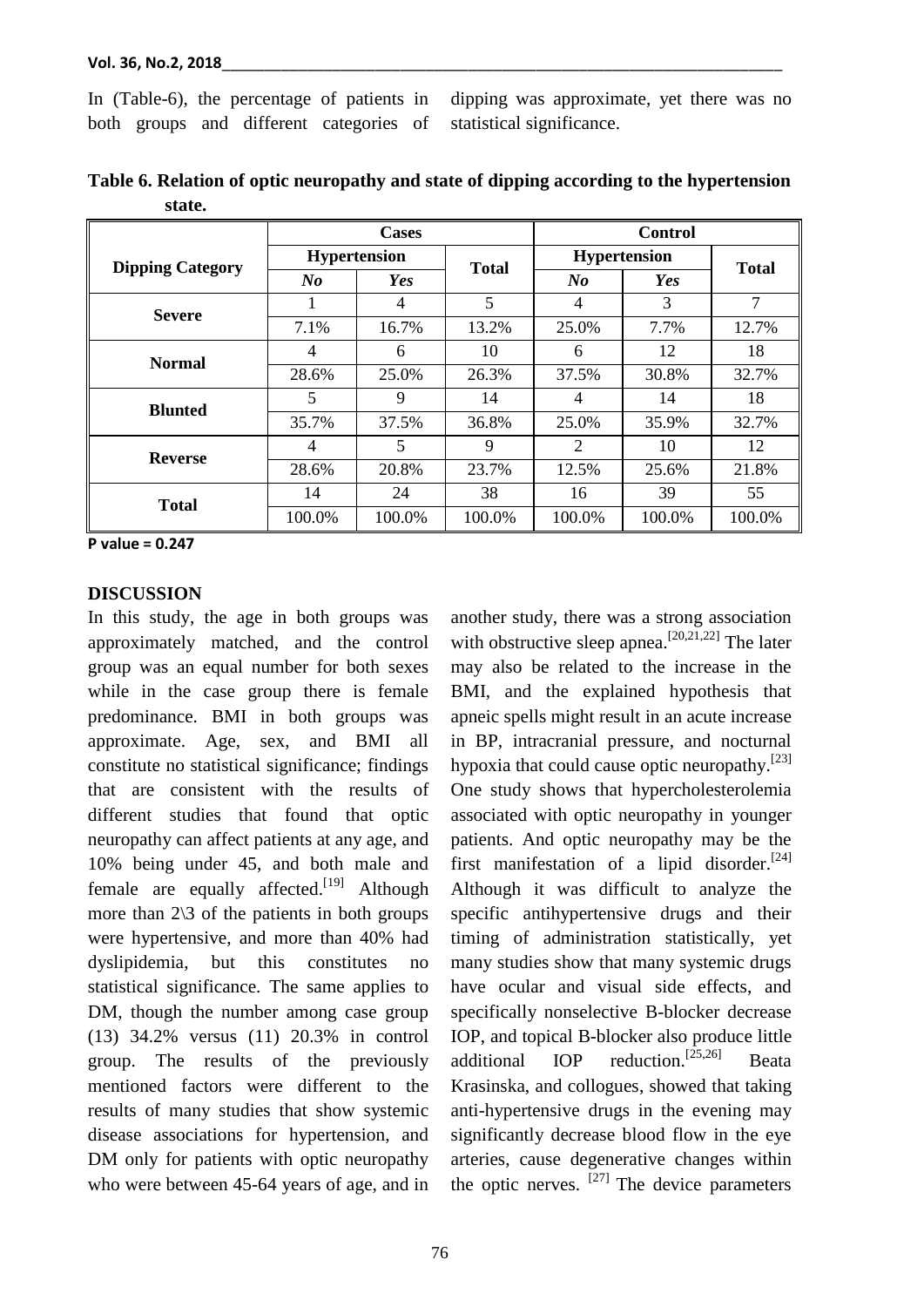In (Table-6), the percentage of patients in both groups and different categories of dipping was approximate, yet there was no statistical significance.

|                         |                     | <b>Cases</b> |              | <b>Control</b> |                     |              |  |
|-------------------------|---------------------|--------------|--------------|----------------|---------------------|--------------|--|
| <b>Dipping Category</b> | <b>Hypertension</b> |              | <b>Total</b> |                | <b>Hypertension</b> | <b>Total</b> |  |
|                         | $N_{0}$             | Yes          |              | No             | Yes                 |              |  |
| <b>Severe</b>           |                     | 4            | 5            | $\overline{4}$ | 3                   | 7            |  |
|                         | 7.1%                | 16.7%        | 13.2%        | 25.0%          | 7.7%                | 12.7%        |  |
| <b>Normal</b>           | 4                   | 6            | 10           | 6              | 12                  | 18           |  |
|                         | 28.6%               | 25.0%        | 26.3%        | 37.5%          | 30.8%               | 32.7%        |  |
| <b>Blunted</b>          | 5                   | 9            | 14           | 4              | 14                  | 18           |  |
|                         | 35.7%               | 37.5%        | 36.8%        | 25.0%          | 35.9%               | 32.7%        |  |
| <b>Reverse</b>          | 4                   | 5            | 9            | 2              | 10                  | 12           |  |
|                         | 28.6%               | 20.8%        | 23.7%        | 12.5%          | 25.6%               | 21.8%        |  |
| <b>Total</b>            | 14                  | 24           | 38           | 16             | 39                  | 55           |  |
|                         | 100.0%              | 100.0%       | 100.0%       | 100.0%         | 100.0%              | 100.0%       |  |

|        | Table 6. Relation of optic neuropathy and state of dipping according to the hypertension |  |  |
|--------|------------------------------------------------------------------------------------------|--|--|
| state. |                                                                                          |  |  |

**P value = 0.247** 

## **DISCUSSION**

In this study, the age in both groups was approximately matched, and the control group was an equal number for both sexes while in the case group there is female predominance. BMI in both groups was approximate. Age, sex, and BMI all constitute no statistical significance; findings that are consistent with the results of different studies that found that optic neuropathy can affect patients at any age, and 10% being under 45, and both male and female are equally affected.<sup>[19]</sup> Although more than  $2\sqrt{3}$  of the patients in both groups were hypertensive, and more than 40% had dyslipidemia, but this constitutes no statistical significance. The same applies to DM, though the number among case group (13) 34.2% versus (11) 20.3% in control group. The results of the previously mentioned factors were different to the results of many studies that show systemic disease associations for hypertension, and DM only for patients with optic neuropathy who were between 45-64 years of age, and in

another study, there was a strong association with obstructive sleep apnea.<sup>[20,21,22]</sup> The later may also be related to the increase in the BMI, and the explained hypothesis that apneic spells might result in an acute increase in BP, intracranial pressure, and nocturnal hypoxia that could cause optic neuropathy.<sup>[23]</sup> One study shows that hypercholesterolemia associated with optic neuropathy in younger patients. And optic neuropathy may be the first manifestation of a lipid disorder.<sup>[24]</sup> Although it was difficult to analyze the specific antihypertensive drugs and their timing of administration statistically, yet many studies show that many systemic drugs have ocular and visual side effects, and specifically nonselective B-blocker decrease IOP, and topical B-blocker also produce little additional IOP reduction.[25,26] Beata Krasinska, and collogues, showed that taking anti-hypertensive drugs in the evening may significantly decrease blood flow in the eye arteries, cause degenerative changes within the optic nerves.  $[27]$  The device parameters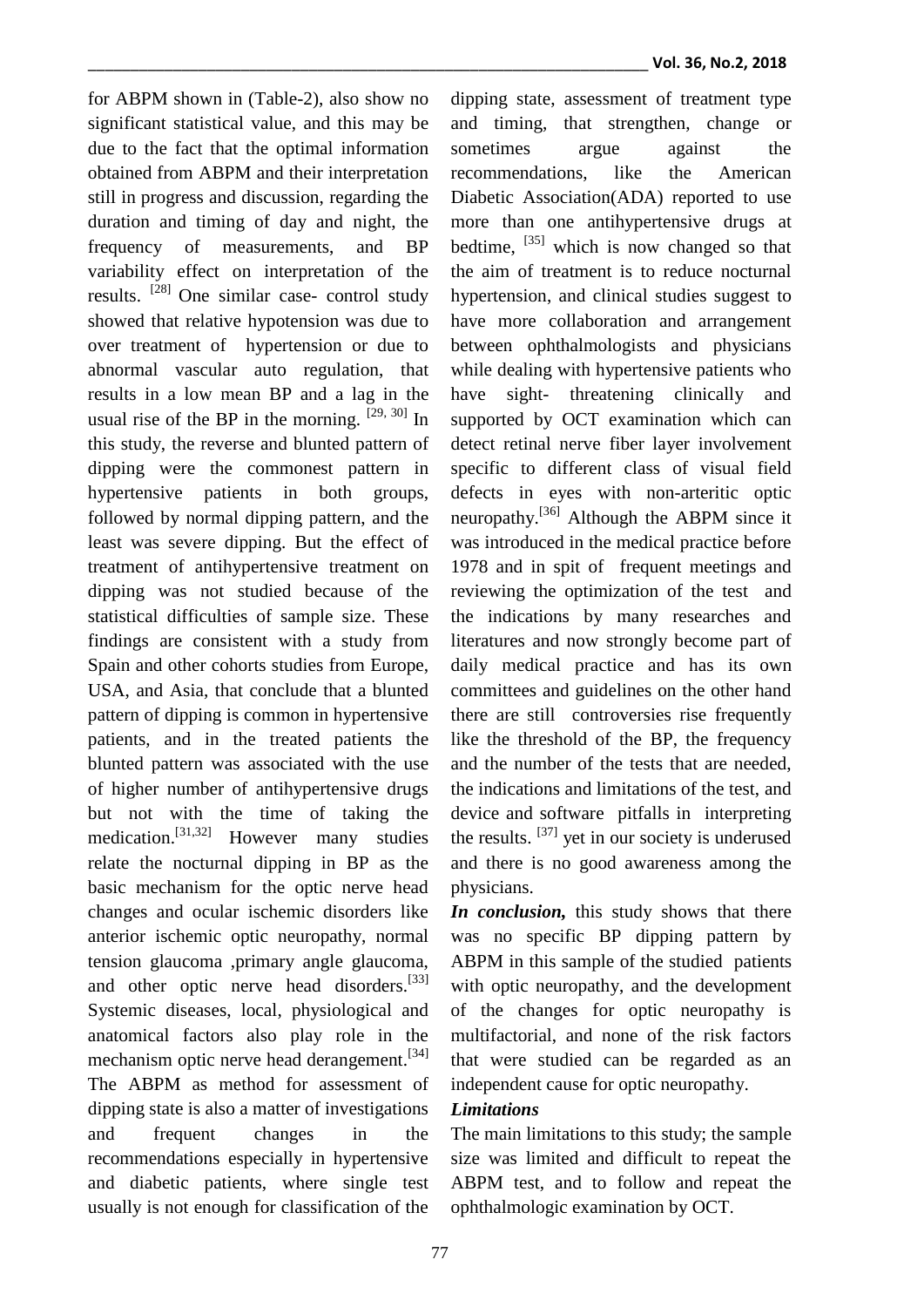for ABPM shown in (Table-2), also show no significant statistical value, and this may be due to the fact that the optimal information obtained from ABPM and their interpretation still in progress and discussion, regarding the duration and timing of day and night, the frequency of measurements, and BP variability effect on interpretation of the results. <sup>[28]</sup> One similar case- control study showed that relative hypotension was due to over treatment of hypertension or due to abnormal vascular auto regulation, that results in a low mean BP and a lag in the usual rise of the BP in the morning.  $[29, 30]$  In this study, the reverse and blunted pattern of dipping were the commonest pattern in hypertensive patients in both groups, followed by normal dipping pattern, and the least was severe dipping. But the effect of treatment of antihypertensive treatment on dipping was not studied because of the statistical difficulties of sample size. These findings are consistent with a study from Spain and other cohorts studies from Europe, USA, and Asia, that conclude that a blunted pattern of dipping is common in hypertensive patients, and in the treated patients the blunted pattern was associated with the use of higher number of antihypertensive drugs but not with the time of taking the medication.[31,32] However many studies relate the nocturnal dipping in BP as the basic mechanism for the optic nerve head changes and ocular ischemic disorders like anterior ischemic optic neuropathy, normal tension glaucoma ,primary angle glaucoma, and other optic nerve head disorders.<sup>[33]</sup> Systemic diseases, local, physiological and anatomical factors also play role in the mechanism optic nerve head derangement.<sup>[34]</sup> The ABPM as method for assessment of dipping state is also a matter of investigations and frequent changes in the recommendations especially in hypertensive and diabetic patients, where single test usually is not enough for classification of the

dipping state, assessment of treatment type and timing, that strengthen, change or sometimes argue against the recommendations, like the American Diabetic Association(ADA) reported to use more than one antihypertensive drugs at bedtime,  $^{[35]}$  which is now changed so that the aim of treatment is to reduce nocturnal hypertension, and clinical studies suggest to have more collaboration and arrangement between ophthalmologists and physicians while dealing with hypertensive patients who have sight- threatening clinically and supported by OCT examination which can detect retinal nerve fiber layer involvement specific to different class of visual field defects in eyes with non-arteritic optic neuropathy.<sup>[36]</sup> Although the ABPM since it was introduced in the medical practice before 1978 and in spit of frequent meetings and reviewing the optimization of the test and the indications by many researches and literatures and now strongly become part of daily medical practice and has its own committees and guidelines on the other hand there are still controversies rise frequently like the threshold of the BP, the frequency and the number of the tests that are needed, the indications and limitations of the test, and device and software pitfalls in interpreting the results.  $[37]$  yet in our society is underused and there is no good awareness among the physicians.

*In conclusion,* this study shows that there was no specific BP dipping pattern by ABPM in this sample of the studied patients with optic neuropathy, and the development of the changes for optic neuropathy is multifactorial, and none of the risk factors that were studied can be regarded as an independent cause for optic neuropathy.

# *Limitations*

The main limitations to this study; the sample size was limited and difficult to repeat the ABPM test, and to follow and repeat the ophthalmologic examination by OCT.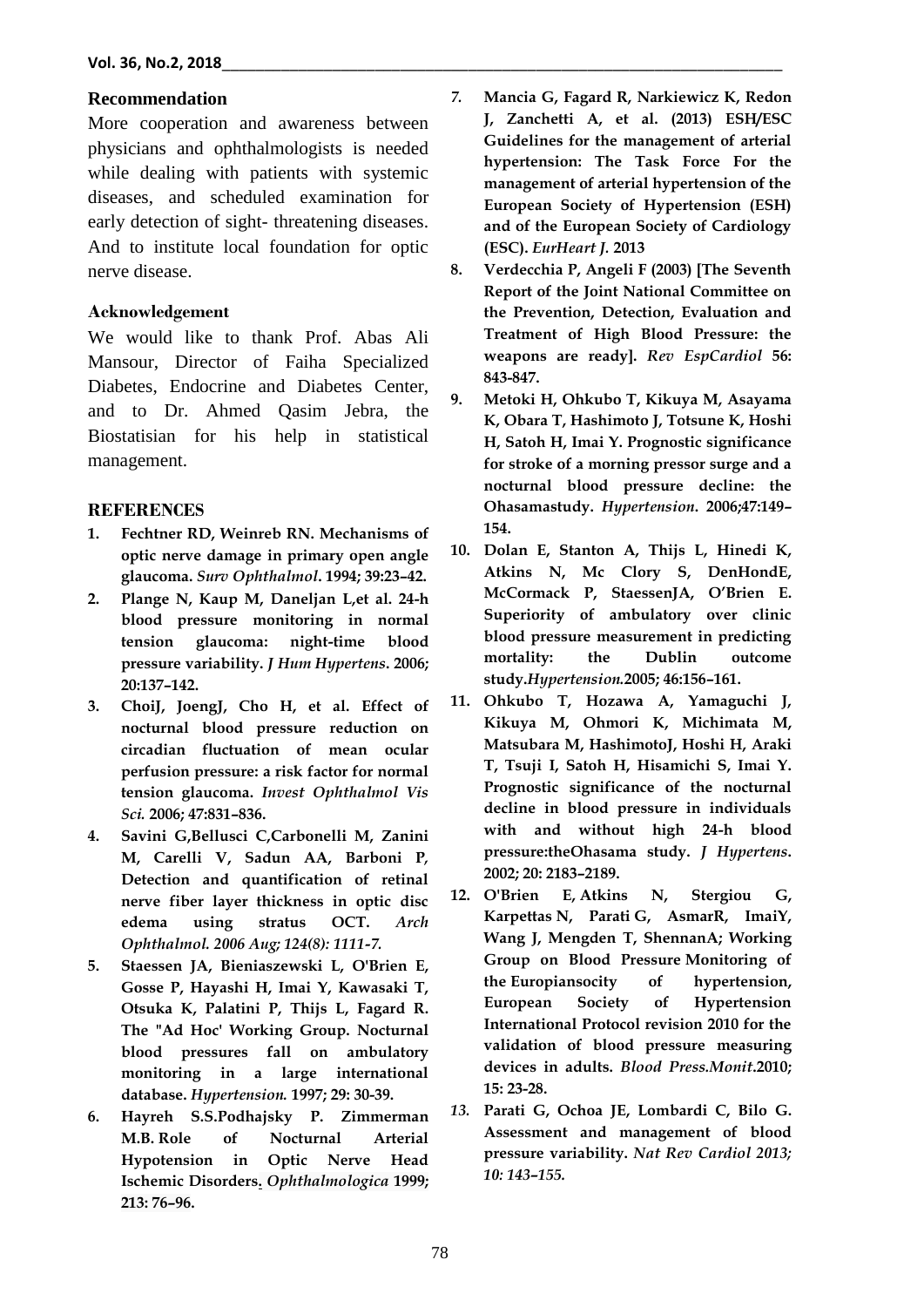# **Recommendation**

More cooperation and awareness between physicians and ophthalmologists is needed while dealing with patients with systemic diseases, and scheduled examination for early detection of sight- threatening diseases. And to institute local foundation for optic nerve disease.

# **Acknowledgement**

We would like to thank Prof. Abas Ali Mansour, Director of Faiha Specialized Diabetes, Endocrine and Diabetes Center, and to Dr. Ahmed Qasim Jebra, the Biostatisian for his help in statistical management.

## **REFERENCES**

- **1. Fechtner RD, Weinreb RN. Mechanisms of optic nerve damage in primary open angle glaucoma.** *Surv Ophthalmol***. 1994; 39:23–42.**
- **2. Plange N, Kaup M, Daneljan L,et al. 24-h blood pressure monitoring in normal tension glaucoma: night-time blood pressure variability.** *J Hum Hypertens***. 2006; 20:137–142.**
- **3. ChoiJ, JoengJ, Cho H, et al. Effect of nocturnal blood pressure reduction on circadian fluctuation of mean ocular perfusion pressure: a risk factor for normal tension glaucoma.** *Invest Ophthalmol Vis Sci.* **2006; 47:831–836.**
- **4. Savini G,Bellusci C,Carbonelli M, Zanini M, Carelli V, Sadun AA, Barboni P***,* **Detection and quantification of retinal nerve fiber layer thickness in optic disc edema using stratus OCT.** *Arch Ophthalmol. 2006 Aug; 124(8): 1111-7.*
- **5. Staessen JA, Bieniaszewski L, O'Brien E, Gosse P, Hayashi H, Imai Y, Kawasaki T, Otsuka K, Palatini P, Thijs L, Fagard R. The "Ad Hoc' Working Group. Nocturnal blood pressures fall on ambulatory monitoring in a large international database.** *Hypertension.* **1997; 29: 30-39.**
- **6. Hayreh S.S.Podhajsky P. Zimmerman M.B. Role of Nocturnal Arterial Hypotension in Optic Nerve Head Ischemic Disorders.** *Ophthalmologica* **1999; 213: 76–96.**
- *7.* **Mancia G, Fagard R, Narkiewicz K, Redon J, Zanchetti A, et al. (2013) ESH/ESC Guidelines for the management of arterial hypertension: The Task Force For the management of arterial hypertension of the European Society of Hypertension (ESH) and of the European Society of Cardiology (ESC).** *EurHeart J.* **2013**
- **8. Verdecchia P, Angeli F (2003) [The Seventh Report of the Joint National Committee on the Prevention, Detection, Evaluation and Treatment of High Blood Pressure: the weapons are ready].** *Rev EspCardiol* **56: 843-847.**
- **9. Metoki H, Ohkubo T, Kikuya M, Asayama K, Obara T, Hashimoto J, Totsune K, Hoshi H, Satoh H, Imai Y. Prognostic significance for stroke of a morning pressor surge and a nocturnal blood pressure decline: the Ohasamastudy.** *Hypertension***. 2006;47:149– 154.**
- **10. Dolan E, Stanton A, Thijs L, Hinedi K, Atkins N, Mc Clory S, DenHondE, McCormack P, StaessenJA, O'Brien E. Superiority of ambulatory over clinic blood pressure measurement in predicting mortality: the Dublin outcome study.***Hypertension.***2005; 46:156–161.**
- **11. Ohkubo T, Hozawa A, Yamaguchi J, Kikuya M, Ohmori K, Michimata M, Matsubara M, HashimotoJ, Hoshi H, Araki T, Tsuji I, Satoh H, Hisamichi S, Imai Y. Prognostic significance of the nocturnal decline in blood pressure in individuals with and without high 24-h blood pressure:theOhasama study.** *J Hypertens***. 2002; 20: 2183–2189.**
- **12. O'Brien E, Atkins N, Stergiou G, Karpettas N, Parati G, AsmarR, ImaiY, Wang J, Mengden T, ShennanA; Working Group on Blood Pressure Monitoring of the Europiansocity of hypertension, European Society of Hypertension International Protocol revision 2010 for the validation of blood pressure measuring devices in adults.** *Blood Press.Monit***.2010; 15: 23-28.**
- *13.* **Parati G, Ochoa JE, Lombardi C, Bilo G. Assessment and management of blood pressure variability.** *Nat Rev Cardiol 2013; 10: 143–155.*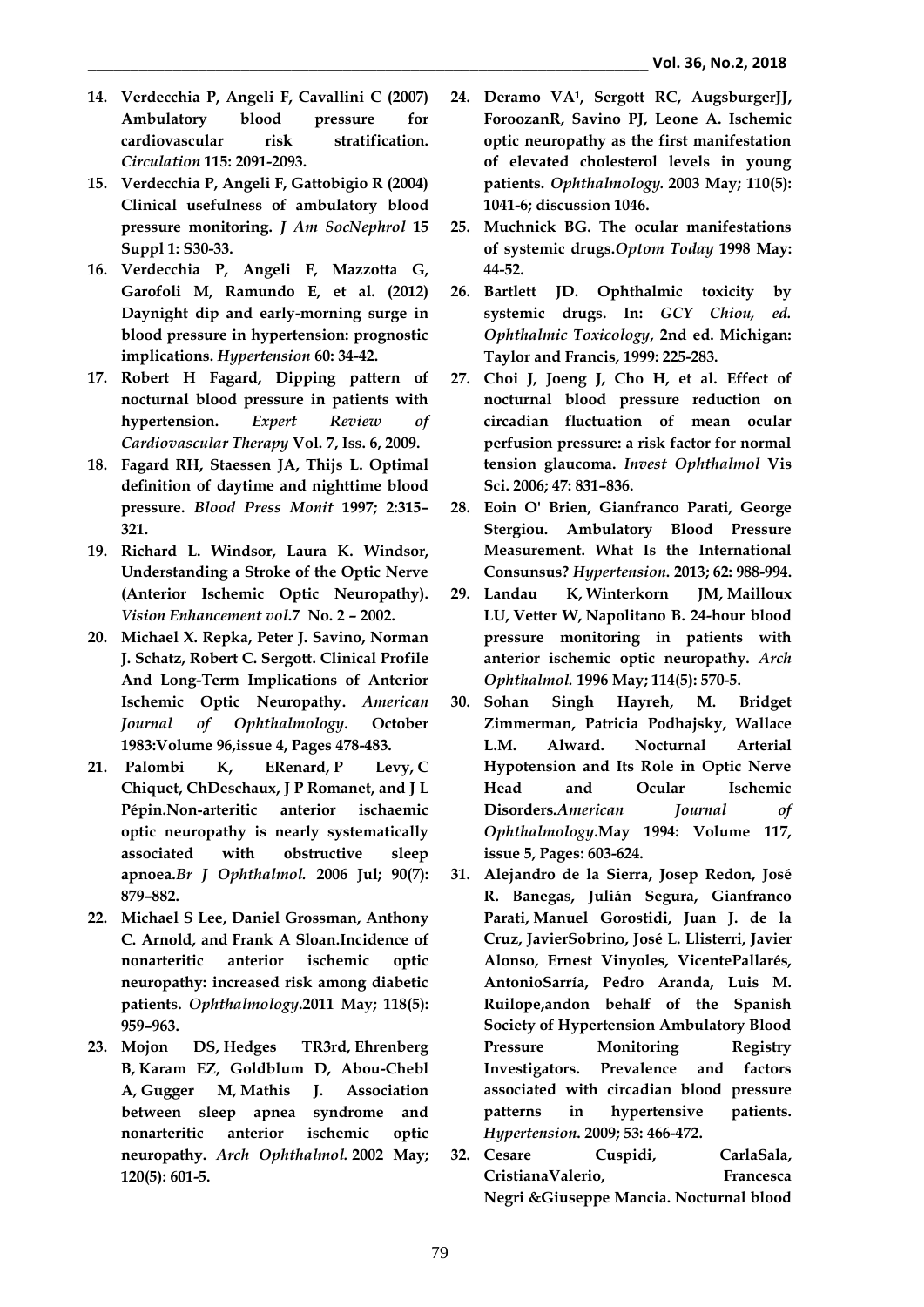- **14. Verdecchia P, Angeli F, Cavallini C (2007) Ambulatory blood pressure for cardiovascular risk stratification.**  *Circulation* **115: 2091-2093.**
- **15. Verdecchia P, Angeli F, Gattobigio R (2004) Clinical usefulness of ambulatory blood pressure monitoring.** *J Am SocNephrol* **15 Suppl 1: S30-33.**
- **16. Verdecchia P, Angeli F, Mazzotta G, Garofoli M, Ramundo E, et al. (2012) Daynight dip and early-morning surge in blood pressure in hypertension: prognostic implications.** *Hypertension* **60: 34-42.**
- **17. Robert H Fagard, [Dipping pattern of](http://www.tandfonline.com/doi/full/10.1586/erc.09.35)  [nocturnal blood pressure in patients with](http://www.tandfonline.com/doi/full/10.1586/erc.09.35)  [hypertension.](http://www.tandfonline.com/doi/full/10.1586/erc.09.35)** *Expert Review of Cardiovascular Therapy* **Vol. 7, Iss. 6, 2009.**
- **18. Fagard RH, Staessen JA, Thijs L. Optimal definition of daytime and nighttime blood pressure.** *Blood Press Monit* **1997; 2:315– 321.**
- **19. Richard L. Windsor, Laura K. Windsor, Understanding a Stroke of the Optic Nerve (Anterior Ischemic Optic Neuropathy).** *Vision Enhancement vol***.7 No. 2 – 2002.**
- **20. [Michael X. Repka,](javascript:void(0);) Peter J. [Savino,](javascript:void(0);) [Norman](javascript:void(0);)  [J. Schatz,](javascript:void(0);) Robert C. [Sergott.](javascript:void(0);) Clinical Profile And Long-Term Implications of Anterior Ischemic Optic Neuropathy.** *American Journal of Ophthalmology***. October 1983:Volume 96,issue 4, Pages 478-483.**
- **21. [Palombi](https://www.ncbi.nlm.nih.gov/pubmed/?term=Palombi%20K%5BAuthor%5D&cauthor=true&cauthor_uid=16556620) K, [ERenard,](https://www.ncbi.nlm.nih.gov/pubmed/?term=Renard%20E%5BAuthor%5D&cauthor=true&cauthor_uid=16556620) [P Levy,](https://www.ncbi.nlm.nih.gov/pubmed/?term=Levy%20P%5BAuthor%5D&cauthor=true&cauthor_uid=16556620) [C](https://www.ncbi.nlm.nih.gov/pubmed/?term=Chiquet%20C%5BAuthor%5D&cauthor=true&cauthor_uid=16556620)  [Chiquet,](https://www.ncbi.nlm.nih.gov/pubmed/?term=Chiquet%20C%5BAuthor%5D&cauthor=true&cauthor_uid=16556620) [ChDeschaux,](https://www.ncbi.nlm.nih.gov/pubmed/?term=Deschaux%20C%5BAuthor%5D&cauthor=true&cauthor_uid=16556620) [J P Romanet,](https://www.ncbi.nlm.nih.gov/pubmed/?term=Romanet%20JP%5BAuthor%5D&cauthor=true&cauthor_uid=16556620) and [J L](https://www.ncbi.nlm.nih.gov/pubmed/?term=P%26%23x000e9%3Bpin%20JL%5BAuthor%5D&cauthor=true&cauthor_uid=16556620)  [Pépin.](https://www.ncbi.nlm.nih.gov/pubmed/?term=P%26%23x000e9%3Bpin%20JL%5BAuthor%5D&cauthor=true&cauthor_uid=16556620)Non**‐**arteritic anterior ischaemic optic neuropathy is nearly systematically associated with obstructive sleep apnoea.***[Br J Ophthalmol.](https://www.ncbi.nlm.nih.gov/pmc/articles/PMC1857151/)* **2006 Jul; 90(7): 879–882.**
- **22. [Michael S Lee,](https://www.ncbi.nlm.nih.gov/pubmed/?term=Lee%20MS%5BAuthor%5D&cauthor=true&cauthor_uid=21439645) Daniel [Grossman,](https://www.ncbi.nlm.nih.gov/pubmed/?term=Grossman%20D%5BAuthor%5D&cauthor=true&cauthor_uid=21439645) [Anthony](https://www.ncbi.nlm.nih.gov/pubmed/?term=Arnold%20AC%5BAuthor%5D&cauthor=true&cauthor_uid=21439645) C. [Arnold,](https://www.ncbi.nlm.nih.gov/pubmed/?term=Arnold%20AC%5BAuthor%5D&cauthor=true&cauthor_uid=21439645) and [Frank A Sloan.](https://www.ncbi.nlm.nih.gov/pubmed/?term=Sloan%20FA%5BAuthor%5D&cauthor=true&cauthor_uid=21439645)Incidence of nonarteritic anterior ischemic optic neuropathy: increased risk among diabetic patients.** *Ophthalmology***[.2011 May; 118\(5\):](https://www.ncbi.nlm.nih.gov/entrez/eutils/elink.fcgi?dbfrom=pubmed&retmode=ref&cmd=prlinks&id=21439645)  959–[963.](https://www.ncbi.nlm.nih.gov/entrez/eutils/elink.fcgi?dbfrom=pubmed&retmode=ref&cmd=prlinks&id=21439645)**
- **23. [Mojon DS,](https://www.ncbi.nlm.nih.gov/pubmed/?term=Mojon%20DS%5BAuthor%5D&cauthor=true&cauthor_uid=12003609) [Hedges TR3rd,](https://www.ncbi.nlm.nih.gov/pubmed/?term=Hedges%20TR%203rd%5BAuthor%5D&cauthor=true&cauthor_uid=12003609) [Ehrenberg](https://www.ncbi.nlm.nih.gov/pubmed/?term=Ehrenberg%20B%5BAuthor%5D&cauthor=true&cauthor_uid=12003609)  [B,](https://www.ncbi.nlm.nih.gov/pubmed/?term=Ehrenberg%20B%5BAuthor%5D&cauthor=true&cauthor_uid=12003609) [Karam](https://www.ncbi.nlm.nih.gov/pubmed/?term=Karam%20EZ%5BAuthor%5D&cauthor=true&cauthor_uid=12003609) EZ, [Goldblum](https://www.ncbi.nlm.nih.gov/pubmed/?term=Goldblum%20D%5BAuthor%5D&cauthor=true&cauthor_uid=12003609) D, [Abou-Chebl](https://www.ncbi.nlm.nih.gov/pubmed/?term=Abou-Chebl%20A%5BAuthor%5D&cauthor=true&cauthor_uid=12003609)  [A,](https://www.ncbi.nlm.nih.gov/pubmed/?term=Abou-Chebl%20A%5BAuthor%5D&cauthor=true&cauthor_uid=12003609) [Gugger M,](https://www.ncbi.nlm.nih.gov/pubmed/?term=Gugger%20M%5BAuthor%5D&cauthor=true&cauthor_uid=12003609) [Mathis J.](https://www.ncbi.nlm.nih.gov/pubmed/?term=Mathis%20J%5BAuthor%5D&cauthor=true&cauthor_uid=12003609) Association between sleep apnea syndrome and nonarteritic anterior ischemic optic neuropathy.** *[Arch Ophthalmol.](https://www.ncbi.nlm.nih.gov/pubmed/12003609)* **2002 May; 120(5): 601-5.**
- **24. [Deramo VA](https://www.ncbi.nlm.nih.gov/pubmed/?term=Deramo%20VA%5BAuthor%5D&cauthor=true&cauthor_uid=12750110)<sup>1</sup> , [Sergott RC,](https://www.ncbi.nlm.nih.gov/pubmed/?term=Sergott%20RC%5BAuthor%5D&cauthor=true&cauthor_uid=12750110) [AugsburgerJJ,](https://www.ncbi.nlm.nih.gov/pubmed/?term=Augsburger%20JJ%5BAuthor%5D&cauthor=true&cauthor_uid=12750110) [ForoozanR,](https://www.ncbi.nlm.nih.gov/pubmed/?term=Foroozan%20R%5BAuthor%5D&cauthor=true&cauthor_uid=12750110) [Savino](https://www.ncbi.nlm.nih.gov/pubmed/?term=Savino%20PJ%5BAuthor%5D&cauthor=true&cauthor_uid=12750110) PJ, [Leone A.](https://www.ncbi.nlm.nih.gov/pubmed/?term=Leone%20A%5BAuthor%5D&cauthor=true&cauthor_uid=12750110) Ischemic optic neuropathy as the first manifestation of elevated cholesterol levels in young patients.** *[Ophthalmology.](https://www.ncbi.nlm.nih.gov/pubmed/12750110)* **2003 May; 110(5): 1041-6; discussion 1046.**
- **25. Muchnick BG. The ocular manifestations of systemic drugs.***Optom Today* **1998 May: 44-52.**
- **26. Bartlett JD. Ophthalmic toxicity by systemic drugs. In:** *GCY Chiou, ed. Ophthalmic Toxicology***, 2nd ed. Michigan: Taylor and Francis, 1999: 225-283.**
- **27. Choi J, Joeng J, Cho H, et al. Effect of nocturnal blood pressure reduction on circadian fluctuation of mean ocular perfusion pressure: a risk factor for normal tension glaucoma.** *Invest Ophthalmol* **Vis Sci. 2006; 47: 831–836.**
- **28. Eoin O' Brien, Gianfranco Parati, George Stergiou. Ambulatory Blood Pressure Measurement. What Is the International Consunsus?** *Hypertension***. 2013; 62: 988-994.**
- **29. [Landau K,](https://www.ncbi.nlm.nih.gov/pubmed/?term=Landau%20K%5BAuthor%5D&cauthor=true&cauthor_uid=8619767) [Winterkorn JM,](https://www.ncbi.nlm.nih.gov/pubmed/?term=Winterkorn%20JM%5BAuthor%5D&cauthor=true&cauthor_uid=8619767) [Mailloux](https://www.ncbi.nlm.nih.gov/pubmed/?term=Mailloux%20LU%5BAuthor%5D&cauthor=true&cauthor_uid=8619767) [LU,](https://www.ncbi.nlm.nih.gov/pubmed/?term=Mailloux%20LU%5BAuthor%5D&cauthor=true&cauthor_uid=8619767) [Vetter W,](https://www.ncbi.nlm.nih.gov/pubmed/?term=Vetter%20W%5BAuthor%5D&cauthor=true&cauthor_uid=8619767) [Napolitano B.](https://www.ncbi.nlm.nih.gov/pubmed/?term=Napolitano%20B%5BAuthor%5D&cauthor=true&cauthor_uid=8619767) 24-hour blood pressure monitoring in patients with anterior ischemic optic neuropathy.** *[Arch](https://www.ncbi.nlm.nih.gov/pubmed/8619767) [Ophthalmol.](https://www.ncbi.nlm.nih.gov/pubmed/8619767)* **1996 May; 114(5): 570-5.**
- **30. [Sohan Singh Hayreh,](javascript:void(0);) [M. Bridget](javascript:void(0);)  [Zimmerman,](javascript:void(0);) [Patricia Podhajsky,](javascript:void(0);) [Wallace](javascript:void(0);)  [L.M. Alward.](javascript:void(0);) Nocturnal Arterial Hypotension and Its Role in Optic Nerve Head and Ocular Ischemic Disorders***.American Journal of Ophthalmology***.May 1994: Volume 117, issue 5, Pages: 603-624.**
- **31. Alejandro de la Sierra, Josep Redon, José R. Banegas, Julián Segura, Gianfranco Parati, Manuel Gorostidi, Juan J. de la Cruz, JavierSobrino, José L. Llisterri, Javier Alonso, Ernest Vinyoles, VicentePallarés, AntonioSarría, Pedro Aranda, Luis M. Ruilope,andon behalf of the Spanish Society of Hypertension Ambulatory Blood Pressure Monitoring Registry Investigators. Prevalence and factors associated with circadian blood pressure patterns in hypertensive patients.**  *Hypertension***. 2009; 53: 466-472.**
- **32. Cesare [Cuspidi,](http://www.tandfonline.com/author/Cuspidi%2C+Cesare) [CarlaSala,](http://www.tandfonline.com/author/Sala%2C+Carla) [CristianaValerio,](http://www.tandfonline.com/author/Valerio%2C+Cristiana) [Francesca](http://www.tandfonline.com/author/Negri%2C+Francesca) [Negri](http://www.tandfonline.com/author/Negri%2C+Francesca) [&Giuseppe Mancia.](http://www.tandfonline.com/author/Mancia%2C+Giuseppe) Nocturnal blood**